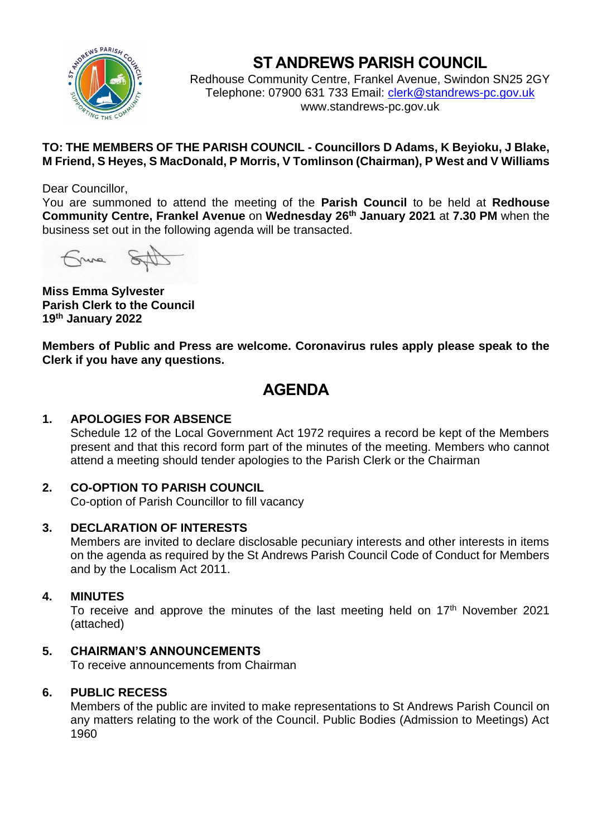

# **ST ANDREWS PARISH COUNCIL**

Redhouse Community Centre, Frankel Avenue, Swindon SN25 2GY Telephone: 07900 631 733 Email: [clerk@standrews-pc.gov.uk](mailto:clerk@standrews-pc.gov.uk) www.standrews-pc.gov.uk

# **TO: THE MEMBERS OF THE PARISH COUNCIL - Councillors D Adams, K Beyioku, J Blake, M Friend, S Heyes, S MacDonald, P Morris, V Tomlinson (Chairman), P West and V Williams**

Dear Councillor,

You are summoned to attend the meeting of the **Parish Council** to be held at **Redhouse Community Centre, Frankel Avenue** on **Wednesday 26th January 2021** at **7.30 PM** when the business set out in the following agenda will be transacted.

Frime St

**Miss Emma Sylvester Parish Clerk to the Council 19th January 2022**

**Members of Public and Press are welcome. Coronavirus rules apply please speak to the Clerk if you have any questions.**

# **AGENDA**

# **1. APOLOGIES FOR ABSENCE**

Schedule 12 of the Local Government Act 1972 requires a record be kept of the Members present and that this record form part of the minutes of the meeting. Members who cannot attend a meeting should tender apologies to the Parish Clerk or the Chairman

## **2. CO-OPTION TO PARISH COUNCIL**

Co-option of Parish Councillor to fill vacancy

## **3. DECLARATION OF INTERESTS**

Members are invited to declare disclosable pecuniary interests and other interests in items on the agenda as required by the St Andrews Parish Council Code of Conduct for Members and by the Localism Act 2011.

## **4. MINUTES**

To receive and approve the minutes of the last meeting held on  $17<sup>th</sup>$  November 2021 (attached)

## **5. CHAIRMAN'S ANNOUNCEMENTS**

To receive announcements from Chairman

## **6. PUBLIC RECESS**

Members of the public are invited to make representations to St Andrews Parish Council on any matters relating to the work of the Council. Public Bodies (Admission to Meetings) Act 1960